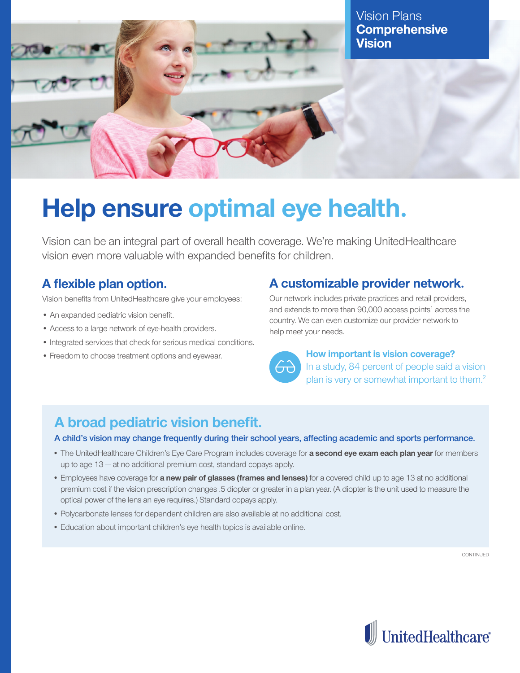

Vision Plans **Comprehensive Vision**

# **Help ensure optimal eye health.**

Vision can be an integral part of overall health coverage. We're making UnitedHealthcare vision even more valuable with expanded benefits for children.

# **A flexible plan option.**

Vision benefits from UnitedHealthcare give your employees:

- An expanded pediatric vision benefit.
- Access to a large network of eye-health providers.
- Integrated services that check for serious medical conditions.
- Freedom to choose treatment options and eyewear.

# **A customizable provider network.**

Our network includes private practices and retail providers, and extends to more than 90,000 access points<sup>1</sup> across the country. We can even customize our provider network to help meet your needs.



#### **How important is vision coverage?** In a study, 84 percent of people said a vision plan is very or somewhat important to them.<sup>2</sup>

# **A broad pediatric vision benefit.**

**A child's vision may change frequently during their school years, affecting academic and sports performance.**

- The UnitedHealthcare Children's Eye Care Program includes coverage for **a second eye exam each plan year** for members up to age 13 — at no additional premium cost, standard copays apply.
- Employees have coverage for **a new pair of glasses (frames and lenses)** for a covered child up to age 13 at no additional premium cost if the vision prescription changes .5 diopter or greater in a plan year. (A diopter is the unit used to measure the optical power of the lens an eye requires.) Standard copays apply.
- Polycarbonate lenses for dependent children are also available at no additional cost.
- Education about important children's eye health topics is available online.

CONTINUED